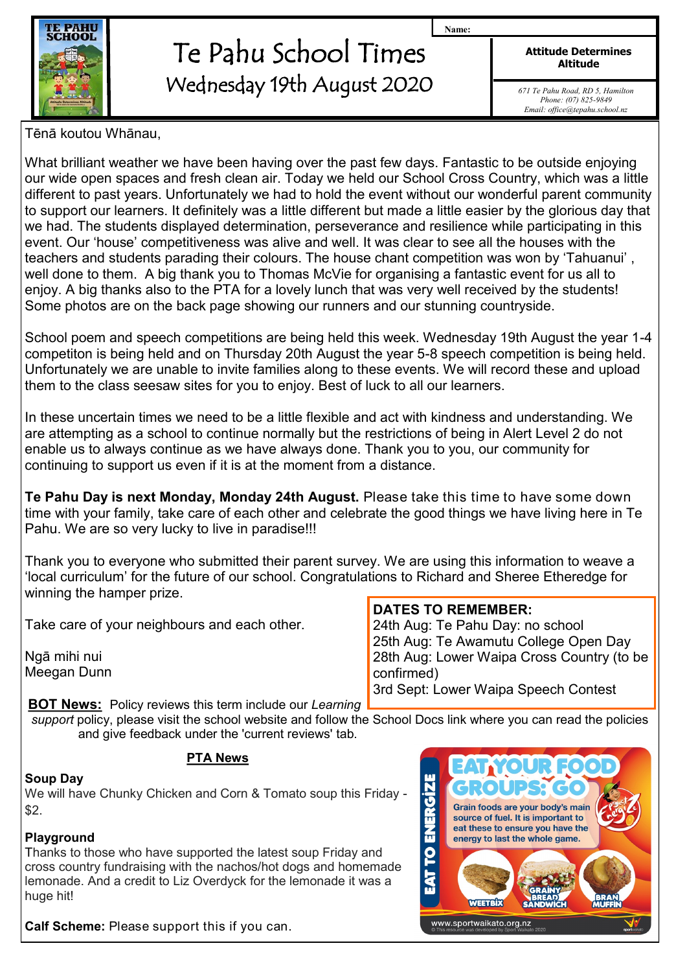

## Te Pahu School Times Wednesday 19th August 2020

**Attitude Determines Altitude**

**Name:**

*671 Te Pahu Road, RD 5, Hamilton Phone: (07) 825-9849 Email: office@tepahu.school.nz*

Tēnā koutou Whānau,

What brilliant weather we have been having over the past few days. Fantastic to be outside enjoying our wide open spaces and fresh clean air. Today we held our School Cross Country, which was a little different to past years. Unfortunately we had to hold the event without our wonderful parent community to support our learners. It definitely was a little different but made a little easier by the glorious day that we had. The students displayed determination, perseverance and resilience while participating in this event. Our 'house' competitiveness was alive and well. It was clear to see all the houses with the teachers and students parading their colours. The house chant competition was won by 'Tahuanui' , well done to them. A big thank you to Thomas McVie for organising a fantastic event for us all to enjoy. A big thanks also to the PTA for a lovely lunch that was very well received by the students! Some photos are on the back page showing our runners and our stunning countryside.

School poem and speech competitions are being held this week. Wednesday 19th August the year 1-4 competiton is being held and on Thursday 20th August the year 5-8 speech competition is being held. Unfortunately we are unable to invite families along to these events. We will record these and upload them to the class seesaw sites for you to enjoy. Best of luck to all our learners.

In these uncertain times we need to be a little flexible and act with kindness and understanding. We are attempting as a school to continue normally but the restrictions of being in Alert Level 2 do not enable us to always continue as we have always done. Thank you to you, our community for continuing to support us even if it is at the moment from a distance.

**Te Pahu Day is next Monday, Monday 24th August.** Please take this time to have some down time with your family, take care of each other and celebrate the good things we have living here in Te Pahu. We are so very lucky to live in paradise!!!

Thank you to everyone who submitted their parent survey. We are using this information to weave a 'local curriculum' for the future of our school. Congratulations to Richard and Sheree Etheredge for winning the hamper prize.

Take care of your neighbours and each other.

Ngā mihi nui Meegan Dunn 24th Aug: Te Pahu Day: no school 25th Aug: Te Awamutu College Open Day

**DATES TO REMEMBER:**

28th Aug: Lower Waipa Cross Country (to be confirmed)

3rd Sept: Lower Waipa Speech Contest

**BOT News:** Policy reviews this term include our *Learning support* policy, please visit the school website and follow the School Docs link where you can read the policies and give feedback under the 'current reviews' tab.

## **PTA News**

## **Soup Day**

We will have Chunky Chicken and Corn & Tomato soup this Friday - \$2.

## **Playground**

Thanks to those who have supported the latest soup Friday and cross country fundraising with the nachos/hot dogs and homemade lemonade. And a credit to Liz Overdyck for the lemonade it was a huge hit!

SIZIE Grain foods are your body's main È source of fuel. It is important to eat these to ensure you have the  $\mathbf{z}$ energy to last the whole game. 2 WEETBIX www.sportwaikato.org.nz

**Calf Scheme:** Please support this if you can.